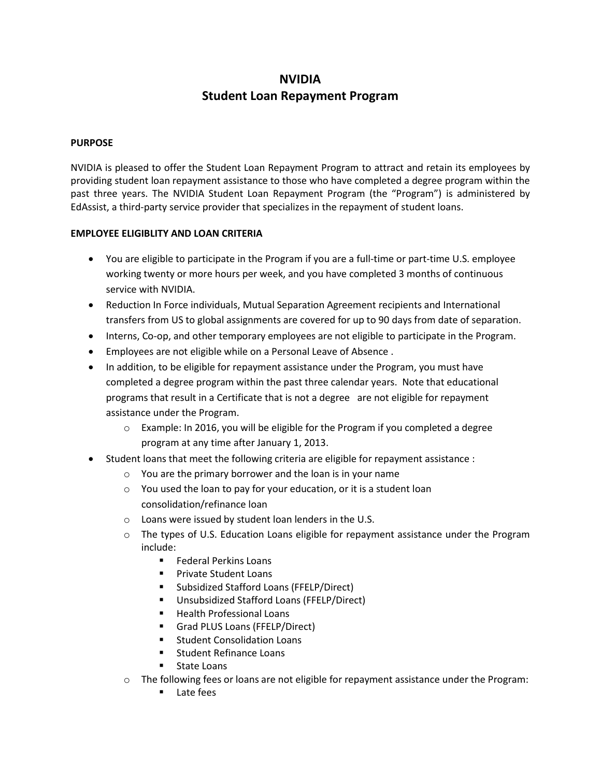# **NVIDIA Student Loan Repayment Program**

## **PURPOSE**

NVIDIA is pleased to offer the Student Loan Repayment Program to attract and retain its employees by providing student loan repayment assistance to those who have completed a degree program within the past three years. The NVIDIA Student Loan Repayment Program (the "Program") is administered by EdAssist, a third-party service provider that specializes in the repayment of student loans.

## **EMPLOYEE ELIGIBLITY AND LOAN CRITERIA**

- You are eligible to participate in the Program if you are a full-time or part-time U.S. employee working twenty or more hours per week, and you have completed 3 months of continuous service with NVIDIA.
- Reduction In Force individuals, Mutual Separation Agreement recipients and International transfers from US to global assignments are covered for up to 90 days from date of separation.
- Interns, Co-op, and other temporary employees are not eligible to participate in the Program.
- Employees are not eligible while on a Personal Leave of Absence .
- In addition, to be eligible for repayment assistance under the Program, you must have completed a degree program within the past three calendar years. Note that educational programs that result in a Certificate that is not a degree are not eligible for repayment assistance under the Program.
	- $\circ$  Example: In 2016, you will be eligible for the Program if you completed a degree program at any time after January 1, 2013.
- Student loans that meet the following criteria are eligible for repayment assistance :
	- o You are the primary borrower and the loan is in your name
	- o You used the loan to pay for your education, or it is a student loan consolidation/refinance loan
	- o Loans were issued by student loan lenders in the U.S.
	- o The types of U.S. Education Loans eligible for repayment assistance under the Program include:
		- **Federal Perkins Loans**
		- **Private Student Loans**
		- **Subsidized Stafford Loans (FFELP/Direct)**
		- Unsubsidized Stafford Loans (FFELP/Direct)
		- **Health Professional Loans**
		- **Grad PLUS Loans (FFELP/Direct)**
		- **EXECUTE: Student Consolidation Loans**
		- **Student Refinance Loans**
		- State Loans
	- o The following fees or loans are not eligible for repayment assistance under the Program:
		- **Late fees**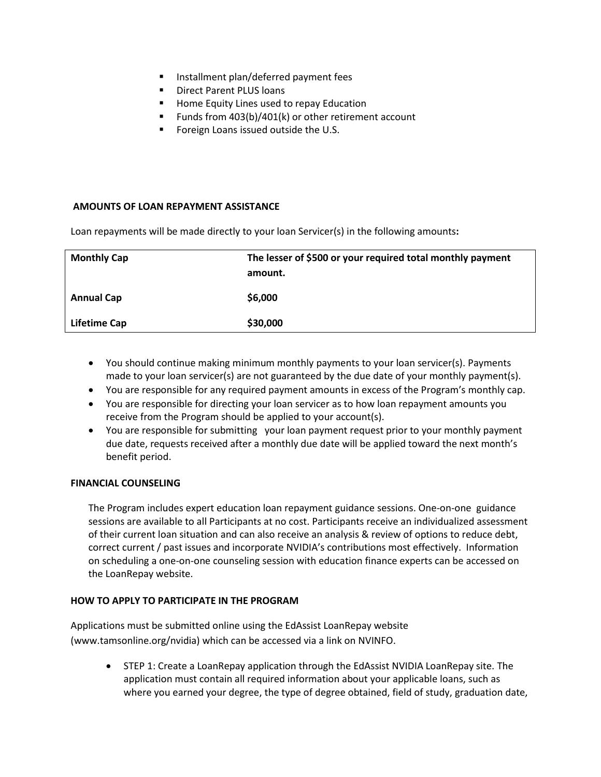- **Installment plan/deferred payment fees**
- **Direct Parent PLUS loans**
- Home Equity Lines used to repay Education
- Funds from 403(b)/401(k) or other retirement account
- Foreign Loans issued outside the U.S.

## **AMOUNTS OF LOAN REPAYMENT ASSISTANCE**

Loan repayments will be made directly to your loan Servicer(s) in the following amounts**:** 

| <b>Monthly Cap</b> | The lesser of \$500 or your required total monthly payment<br>amount. |
|--------------------|-----------------------------------------------------------------------|
| <b>Annual Cap</b>  | \$6,000                                                               |
| Lifetime Cap       | \$30,000                                                              |

- You should continue making minimum monthly payments to your loan servicer(s). Payments made to your loan servicer(s) are not guaranteed by the due date of your monthly payment(s).
- You are responsible for any required payment amounts in excess of the Program's monthly cap.
- You are responsible for directing your loan servicer as to how loan repayment amounts you receive from the Program should be applied to your account(s).
- You are responsible for submitting your loan payment request prior to your monthly payment due date, requests received after a monthly due date will be applied toward the next month's benefit period.

#### **FINANCIAL COUNSELING**

The Program includes expert education loan repayment guidance sessions. One-on-one guidance sessions are available to all Participants at no cost. Participants receive an individualized assessment of their current loan situation and can also receive an analysis & review of options to reduce debt, correct current / past issues and incorporate NVIDIA's contributions most effectively. Information on scheduling a one-on-one counseling session with education finance experts can be accessed on the LoanRepay website.

## **HOW TO APPLY TO PARTICIPATE IN THE PROGRAM**

Applications must be submitted online using the EdAssist LoanRepay website (www.tamsonline.org/nvidia) which can be accessed via a link on NVINFO.

> STEP 1: Create a LoanRepay application through the EdAssist NVIDIA LoanRepay site. The application must contain all required information about your applicable loans, such as where you earned your degree, the type of degree obtained, field of study, graduation date,